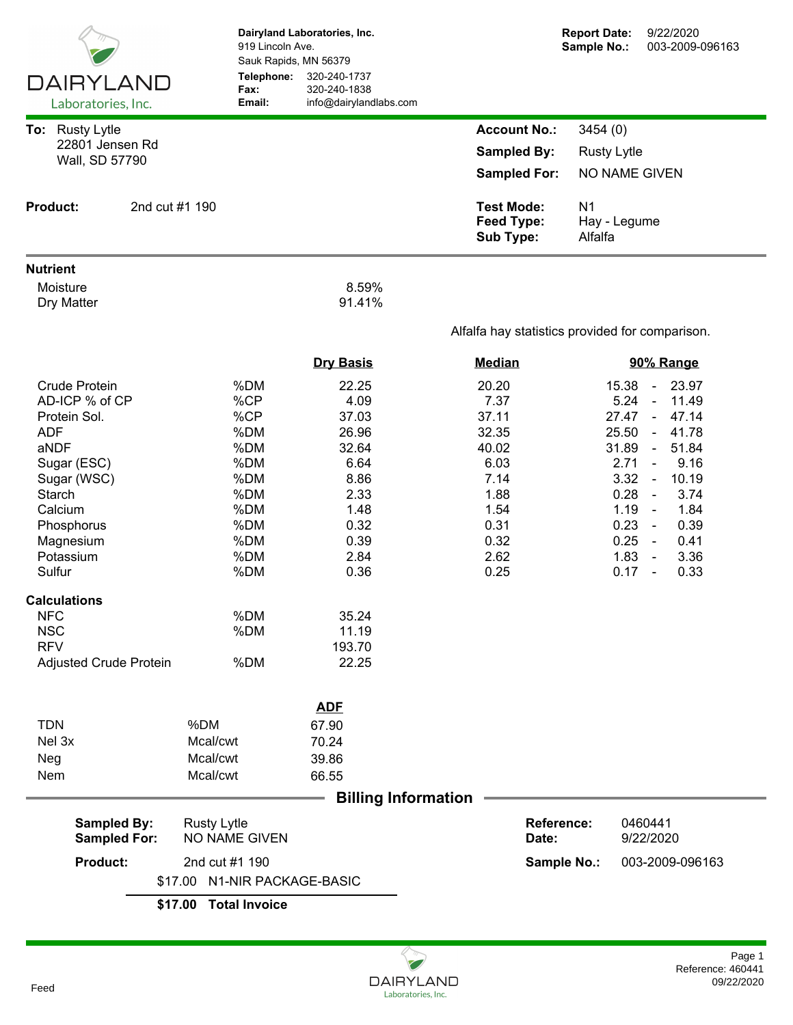|                                                                                                                                                                                                                                                                              |                                         | Dairyland Laboratories, Inc.<br>919 Lincoln Ave.<br>Sauk Rapids, MN 56379                                    |                                                                                                                                               |                                                            |                                                                                                          | <b>Report Date:</b><br>Sample No.: | 9/22/2020<br>003-2009-096163                                                                                                                                                                                                                                                                                                                                       |
|------------------------------------------------------------------------------------------------------------------------------------------------------------------------------------------------------------------------------------------------------------------------------|-----------------------------------------|--------------------------------------------------------------------------------------------------------------|-----------------------------------------------------------------------------------------------------------------------------------------------|------------------------------------------------------------|----------------------------------------------------------------------------------------------------------|------------------------------------|--------------------------------------------------------------------------------------------------------------------------------------------------------------------------------------------------------------------------------------------------------------------------------------------------------------------------------------------------------------------|
| <b>DAIRYLAND</b><br>Laboratories, Inc.                                                                                                                                                                                                                                       |                                         | Telephone:<br>Fax:<br>Email:                                                                                 | 320-240-1737<br>320-240-1838<br>info@dairylandlabs.com                                                                                        |                                                            |                                                                                                          |                                    |                                                                                                                                                                                                                                                                                                                                                                    |
| To: Rusty Lytle                                                                                                                                                                                                                                                              |                                         |                                                                                                              |                                                                                                                                               |                                                            | <b>Account No.:</b>                                                                                      | 3454 (0)                           |                                                                                                                                                                                                                                                                                                                                                                    |
| 22801 Jensen Rd                                                                                                                                                                                                                                                              |                                         |                                                                                                              |                                                                                                                                               |                                                            | <b>Sampled By:</b>                                                                                       | <b>Rusty Lytle</b>                 |                                                                                                                                                                                                                                                                                                                                                                    |
| Wall, SD 57790                                                                                                                                                                                                                                                               |                                         |                                                                                                              |                                                                                                                                               |                                                            | <b>Sampled For:</b>                                                                                      |                                    | NO NAME GIVEN                                                                                                                                                                                                                                                                                                                                                      |
| 2nd cut #1 190<br><b>Product:</b>                                                                                                                                                                                                                                            |                                         |                                                                                                              |                                                                                                                                               | <b>Test Mode:</b><br><b>Feed Type:</b><br><b>Sub Type:</b> | N <sub>1</sub><br>Hay - Legume<br>Alfalfa                                                                |                                    |                                                                                                                                                                                                                                                                                                                                                                    |
| <b>Nutrient</b>                                                                                                                                                                                                                                                              |                                         |                                                                                                              |                                                                                                                                               |                                                            |                                                                                                          |                                    |                                                                                                                                                                                                                                                                                                                                                                    |
| Moisture<br>Dry Matter                                                                                                                                                                                                                                                       |                                         |                                                                                                              | 8.59%<br>91.41%                                                                                                                               |                                                            |                                                                                                          |                                    |                                                                                                                                                                                                                                                                                                                                                                    |
|                                                                                                                                                                                                                                                                              |                                         | Alfalfa hay statistics provided for comparison.                                                              |                                                                                                                                               |                                                            |                                                                                                          |                                    |                                                                                                                                                                                                                                                                                                                                                                    |
|                                                                                                                                                                                                                                                                              |                                         |                                                                                                              | <b>Dry Basis</b>                                                                                                                              |                                                            | <b>Median</b>                                                                                            |                                    | 90% Range                                                                                                                                                                                                                                                                                                                                                          |
| <b>Crude Protein</b><br>AD-ICP % of CP<br>Protein Sol.<br><b>ADF</b><br>aNDF<br>Sugar (ESC)<br>Sugar (WSC)<br>Starch<br>Calcium<br>Phosphorus<br>Magnesium<br>Potassium<br>Sulfur<br><b>Calculations</b><br><b>NFC</b><br><b>NSC</b><br><b>RFV</b><br>Adjusted Crude Protein |                                         | %DM<br>%CP<br>%CP<br>%DM<br>%DM<br>%DM<br>%DM<br>%DM<br>%DM<br>%DM<br>%DM<br>%DM<br>%DM<br>%DM<br>%DM<br>%DM | 22.25<br>4.09<br>37.03<br>26.96<br>32.64<br>6.64<br>8.86<br>2.33<br>1.48<br>0.32<br>0.39<br>2.84<br>0.36<br>35.24<br>11.19<br>193.70<br>22.25 |                                                            | 20.20<br>7.37<br>37.11<br>32.35<br>40.02<br>6.03<br>7.14<br>1.88<br>1.54<br>0.31<br>0.32<br>2.62<br>0.25 |                                    | 15.38<br>23.97<br>$\sim$<br>5.24<br>11.49<br>$\omega$<br>$27.47 -$<br>47.14<br>25.50<br>41.78<br>$\sim$<br>31.89<br>51.84<br>$\blacksquare$<br>2.71<br>9.16<br>$\omega$<br>3.32<br>10.19<br>$\sim$<br>0.28<br>3.74<br>$\sim$<br>1.19<br>1.84<br>$\sim$<br>0.23<br>0.39<br>$\sim$<br>0.25<br>0.41<br>$\sim$ $-$<br>1.83<br>3.36<br>$\sim$<br>0.33<br>0.17<br>$\sim$ |
|                                                                                                                                                                                                                                                                              |                                         |                                                                                                              |                                                                                                                                               |                                                            |                                                                                                          |                                    |                                                                                                                                                                                                                                                                                                                                                                    |
| <b>TDN</b><br>Nel 3x<br>Neg<br>Nem                                                                                                                                                                                                                                           | %DM<br>Mcal/cwt<br>Mcal/cwt<br>Mcal/cwt |                                                                                                              | <b>ADF</b><br>67.90<br>70.24<br>39.86<br>66.55                                                                                                |                                                            |                                                                                                          |                                    |                                                                                                                                                                                                                                                                                                                                                                    |
|                                                                                                                                                                                                                                                                              |                                         |                                                                                                              | <b>Billing Information</b>                                                                                                                    |                                                            |                                                                                                          |                                    |                                                                                                                                                                                                                                                                                                                                                                    |
| <b>Sampled By:</b><br><b>Rusty Lytle</b><br><b>Sampled For:</b>                                                                                                                                                                                                              |                                         | NO NAME GIVEN                                                                                                |                                                                                                                                               |                                                            | Date:                                                                                                    | <b>Reference:</b>                  | 0460441<br>9/22/2020                                                                                                                                                                                                                                                                                                                                               |
| <b>Product:</b>                                                                                                                                                                                                                                                              | \$17.00                                 | 2nd cut #1 190<br>N1-NIR PACKAGE-BASIC                                                                       |                                                                                                                                               |                                                            |                                                                                                          | Sample No.:                        | 003-2009-096163                                                                                                                                                                                                                                                                                                                                                    |
|                                                                                                                                                                                                                                                                              | \$17.00                                 | <b>Total Invoice</b>                                                                                         |                                                                                                                                               |                                                            |                                                                                                          |                                    |                                                                                                                                                                                                                                                                                                                                                                    |
|                                                                                                                                                                                                                                                                              |                                         |                                                                                                              |                                                                                                                                               |                                                            |                                                                                                          |                                    |                                                                                                                                                                                                                                                                                                                                                                    |

Q  $\overline{}$